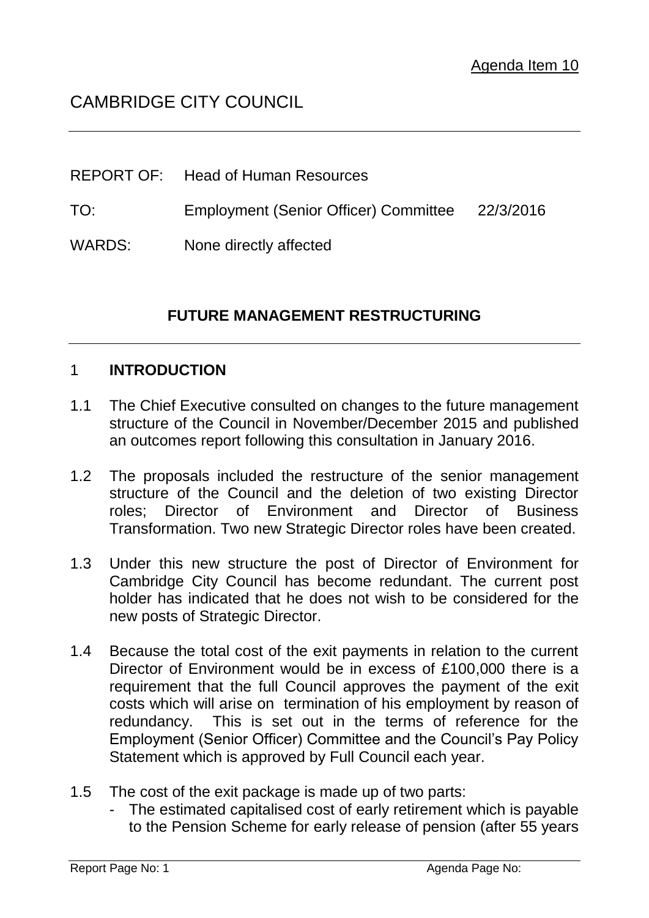# CAMBRIDGE CITY COUNCIL

|        | <b>REPORT OF:</b> Head of Human Resources       |  |
|--------|-------------------------------------------------|--|
| TO:    | Employment (Senior Officer) Committee 22/3/2016 |  |
| WARDS: | None directly affected                          |  |

## **FUTURE MANAGEMENT RESTRUCTURING**

#### 1 **INTRODUCTION**

- 1.1 The Chief Executive consulted on changes to the future management structure of the Council in November/December 2015 and published an outcomes report following this consultation in January 2016.
- 1.2 The proposals included the restructure of the senior management structure of the Council and the deletion of two existing Director roles; Director of Environment and Director of Business Transformation. Two new Strategic Director roles have been created.
- 1.3 Under this new structure the post of Director of Environment for Cambridge City Council has become redundant. The current post holder has indicated that he does not wish to be considered for the new posts of Strategic Director.
- 1.4 Because the total cost of the exit payments in relation to the current Director of Environment would be in excess of £100,000 there is a requirement that the full Council approves the payment of the exit costs which will arise on termination of his employment by reason of redundancy. This is set out in the terms of reference for the Employment (Senior Officer) Committee and the Council's Pay Policy Statement which is approved by Full Council each year.
- 1.5 The cost of the exit package is made up of two parts:
	- The estimated capitalised cost of early retirement which is payable to the Pension Scheme for early release of pension (after 55 years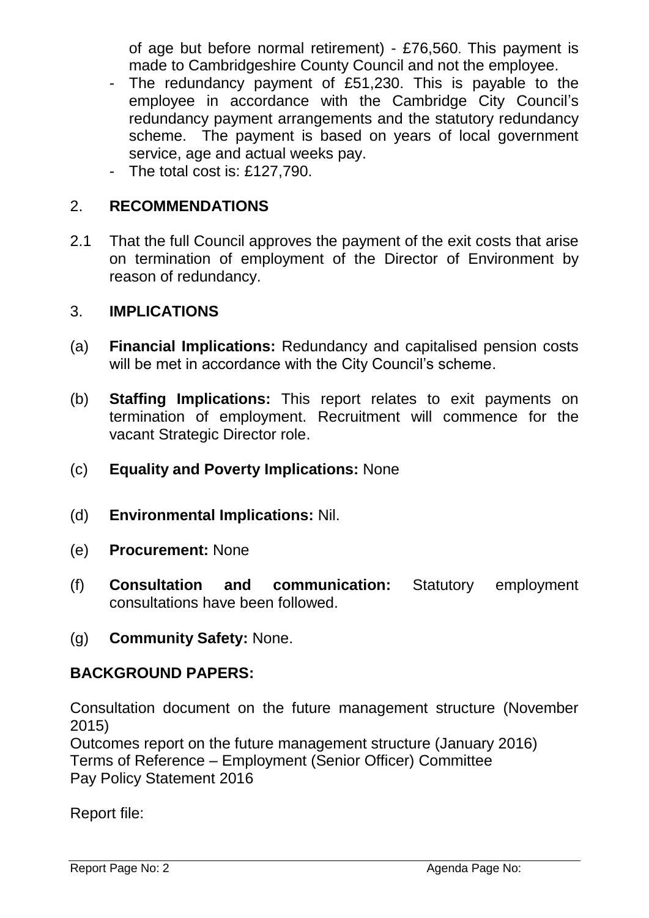of age but before normal retirement) - £76,560. This payment is made to Cambridgeshire County Council and not the employee.

- The redundancy payment of £51,230. This is payable to the employee in accordance with the Cambridge City Council's redundancy payment arrangements and the statutory redundancy scheme. The payment is based on years of local government service, age and actual weeks pay.
- The total cost is: £127,790.

## 2. **RECOMMENDATIONS**

2.1 That the full Council approves the payment of the exit costs that arise on termination of employment of the Director of Environment by reason of redundancy.

#### 3. **IMPLICATIONS**

- (a) **Financial Implications:** Redundancy and capitalised pension costs will be met in accordance with the City Council's scheme.
- (b) **Staffing Implications:** This report relates to exit payments on termination of employment. Recruitment will commence for the vacant Strategic Director role.
- (c) **Equality and Poverty Implications:** None
- (d) **Environmental Implications:** Nil.
- (e) **Procurement:** None
- (f) **Consultation and communication:** Statutory employment consultations have been followed.
- (g) **Community Safety:** None.

### **BACKGROUND PAPERS:**

Consultation document on the future management structure (November 2015)

Outcomes report on the future management structure (January 2016) Terms of Reference – Employment (Senior Officer) Committee Pay Policy Statement 2016

Report file: